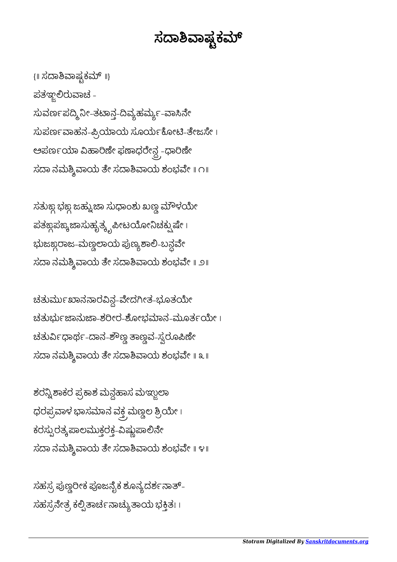## ಸದಾಶಿವಾಷ್ಟಕಮ್

{॥ ಸದಾಶಿವಾಷ್ಟಕಮ್ ॥} ಪತಞರುಾಚ - ಸುವರ್ಣಪದ್ಮಿನೀ-ತಟಾನ್ತ-ದಿವ್ಯಹರ್ಮ್ಯು-ವಾಸಿನೇ ಸುಪರ್ಣವಾಹನ-ಪ್ರಿಯಾಯ ಸೂರ್ಯಕೋಟಿ-ತೇಜಸೇ। ಅಪರ್ಣಯಾ ವಿಹಾರಿಣೀ ಫಣಾಧರೇನ್ದ -ಧಾರಿಣೀ ಸದಾ ನಮಶ್ಶಿವಾಯ ತೇ ಸದಾಶಿವಾಯ ಶಂಭವೇ ॥ ೧॥

ಸತುಙ್ದ ಭಙ್ದ ಜಹ್ವುಜಾ ಸುಧಾಂಶು ಖಣ್ಣ ಮೌಳಯೇ ಪತಙ್ಯಪಾಸುಹೃತ್ಕೃಪೀಟಯೋನಿಚಕ್<mark>ಷ</mark>ುಷೇ । ಭುಜಙ್ಞರಾಜ-ಮಣ್ಣಲಾಯ ಪುಣ್ಯಶಾಲಿ-ಬನ್ಧವೇ ಸದಾ ನಮಶ್ಶಿವಾಯ ತೇ ಸದಾಶಿವಾಯ ಶಂಭವೇ ॥ ೨॥

ಚತುರ್ಮಖಾನನಾರವಿನ್ಧ-ವೇದಗೀತ-ಭೂತಯೇ ಚತುರ್ಭುಜಾನುಜಾ-ಶರೀರ-ಶೋಭಮಾನ-ಮೂರ್ತಯೇ। ಚತುರ್ವಿಧಾರ್ಥ-ದಾನ-ಶೌಣ್ಣ ತಾಣ್ವವ-ಸ್ವರೂಪಿಣ<mark>ೇ</mark> ಸದಾ ನಮಶ್ಶಿವಾಯ ತೇ ಸದಾಶಿವಾಯ ಶಂಭವೇ ॥ ೩ ॥

ಶರನ್ನಿಶಾಕರ ಪ್ರಕಾಶ ಮನ್ದಹಾಸ ಮಞ್ಜುಲಾ ಧರಪ್ರವಾಳ ಭಾಸಮಾನ ವಕ್ತ ಮಣ್ಣಲ ಶ್ರಿಯೇ । ಕರಸ್ಪುರತ್ಕ ಪಾಲಮುಕ್ತರಕ್ತ-ವಿಷ್ಣುಪಾಲಿನೇ  $\vec{a}$ ಸದಾ ನಮಶ್ಶಿವಾಯ ತೇ ಸದಾಶಿವಾಯ ಶಂಭವೇ ॥ ೪॥

ಸಹಸ್ರ ಪುಣ್ಣರೀಕ ಪೂಜನೈಕ ಶೂನ್ಯದರ್ಶನಾತ್– ಸಹಸ್ರನೇತ್ರ ಕಲ್ಪಿತಾರ್ಚನಾಚ್ಯುತಾಯ ಭಕ್ತಿತಃ ।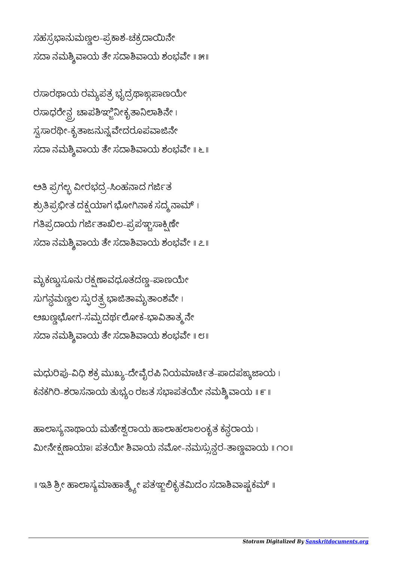ಮೀನೇಕ್ಸಣಾಯಾಃ ಪತಯೇ ಶಿವಾಯ ನಮೋ-ನಮಸ್ಸುನ್ದರ-ತಾಣ್ಣವಾಯ ॥ ೧೦॥

॥ ಇತಿ ಶ್ರೀ ಹಾಲಾಸ್ಯಮಾಹಾರ್ತ್ಮ್ಲೇ ಪತಞ್ಲಲಿಕೃತಮಿದಂ ಸದಾಶಿವಾಷ್ಟಕಮ್ ॥

ಹಾಲಾಸ್ಯನಾಥಾಯ ಮಹೇಶ್ವರಾಯ ಹಾಲಾಹಲಾಲಂಕೃತ ಕನ್ದರಾಯ ।

ಮಧುರಿಪು-ವಿಧಿ ಶಕ್ರ ಮುಖ್ಯ-ದೇವೈರಪಿ ನಿಯಮಾರ್ಚಿತ-ಪಾದಪಙ್ಯಜಾಯ । ಕನಕಗಿರಿ-ಶರಾಸನಾಯ ತುಭ್ಯಂ ರಜತ ಸಭಾಪತಯೇ ನಮಶ್ಶಿ ವಾಯ ॥ ೯॥

ಮೃಕಣ್ಣುಸೂನು ರಕ್ಷಣಾವಧೂತದಣ್ಣ-ಪಾಣಯೇ  $\vec{r}$ ಸುಗನ್ದಮಣ್ಣಲ ಸ್ಫುರತ್ಪ್ಗಭಾಜಿತಾಮೃತಾಂಶವೇ । ಅಖಣ್ಣಭೋಗ-ಸಮ್ಪದರ್ಥಲೋಕ-ಭಾವಿತಾತ್ಮ್ರನೇ  $\vec{a}$ ಸದಾ ನಮಶ್ಶಿವಾಯ ತೇ ಸದಾಶಿವಾಯ ಶಂಭವೇ ॥ ೮॥

ಅತಿ ಪ್ರಗಲ್ಬ ವೀರಭದ್ರ-ಸಿಂಹನಾದ ಗರ್ಜಿತ ಶ್ರುತಿಪ್ರಭೀತ ದಕ್ಷಯಾಗ ಭೋಗಿನಾಕ ಸದ್ಮ ನಾಮ್ । ಗತಿಪ್ರದಾಯ ಗರ್ಜಿತಾಖಿಲ-ಪ್ರಪಞ್ಚಸಾಕ್ಷಿಣೇ  $\vec{a}$ ಸದಾ ನಮಶ್ಶಿವಾಯ ತೇ ಸದಾಶಿವಾಯ ಶಂಭವೇ ॥ ೭॥

ರಸಾರಥಾಯ ರಮ್ಯಪತ್ರ ಭೃದ್ರಥಾಙ್ಗಪಾಣಯೇ ರಸಾಧರೇನ್ದ್ರಚಾಾಪಶಿಞ್ಜಿನೀಕೃತಾನಿಲಾಶಿನೇ। ಸ್ವಸಾರಥೀ-ಕೃತಾಜನುನ್ವವೇದರೂಪವಾಜಿನೇ ಸದಾ ನಮಶ್ಶಿವಾಯ ತೇ ಸದಾಶಿವಾಯ ಶಂಭವೇ ॥ ೬ ॥

ಸಹಸ್ರಭಾನುಮಣ್ಣಲ-ಪ್ರಕಾಶ-ಚಕ್ರದಾಯಿನೇ ಸದಾ ನಮಶ್ಶಿವಾಯ ತೇ ಸದಾಶಿವಾಯ ಶಂಭವೇ ॥ ೫॥